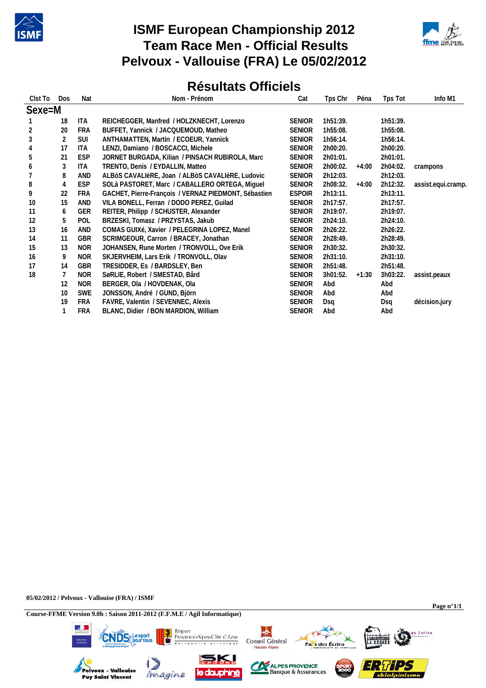

## **ISMF European Championship 2012 Team Race Men - Official Results Pelvoux - Vallouise (FRA) Le 05/02/2012**



## **Résultats Officiels**

| Clst To Dos    |                | <b>Nat</b> | Nom - Prénom                                         | Cat           | Tps Chr  | Péna    | Tps Tot  | Info M1            |
|----------------|----------------|------------|------------------------------------------------------|---------------|----------|---------|----------|--------------------|
| Sexe=M         |                |            |                                                      |               |          |         |          |                    |
|                | 18             | ITA        | REICHEGGER, Manfred / HOLZKNECHT, Lorenzo            | <b>SENIOR</b> | 1h51:39. |         | 1h51:39. |                    |
| $\overline{2}$ | 20             | <b>FRA</b> | BUFFET, Yannick / JACQUEMOUD, Matheo                 | <b>SENIOR</b> | 1h55:08. |         | 1h55:08. |                    |
| 3              | $\overline{2}$ | <b>SUI</b> | ANTHAMATTEN, Martin / ECOEUR, Yannick                | <b>SENIOR</b> | 1h56:14. |         | 1h56:14. |                    |
| $\overline{4}$ | 17             | <b>ITA</b> | LENZI, Damiano / BOSCACCI, Michele                   | <b>SENIOR</b> | 2h00:20. |         | 2h00:20. |                    |
| 5              | 21             | <b>ESP</b> | JORNET BURGADA, Kilian / PINSACH RUBIROLA, Marc      | <b>SENIOR</b> | 2h01:01. |         | 2h01:01. |                    |
| 6              | 3              | ITA        | TRENTO, Denis / EYDALLIN, Matteo                     | <b>SENIOR</b> | 2h00:02. | +4:00   | 2h04:02. | crampons           |
|                | 8              | AND        | ALBÒS CAVALIÈRE, Joan / ALBÒS CAVALIÈRE, Ludovic     | <b>SENIOR</b> | 2h12:03. |         | 2h12:03. |                    |
| 8              | 4              | <b>ESP</b> | SOLà PASTORET, Marc / CABALLERO ORTEGA, Miguel       | <b>SENIOR</b> | 2h08:32. | $+4:00$ | 2h12:32. | assist.equi.cramp. |
| 9              | 22             | <b>FRA</b> | GACHET, Pierre-François / VERNAZ PIEDMONT, Sébastien | <b>ESPOIR</b> | 2h13:11. |         | 2h13:11. |                    |
| 10             | 15             | AND        | VILA BONELL, Ferran / DODO PEREZ, Guilad             | <b>SENIOR</b> | 2h17:57. |         | 2h17:57. |                    |
| 11             | 6              | <b>GER</b> | REITER, Philipp / SCHUSTER, Alexander                | <b>SENIOR</b> | 2h19:07. |         | 2h19:07. |                    |
| 12             | 5              | POL        | BRZESKI, Tomasz / PRZYSTAS, Jakub                    | <b>SENIOR</b> | 2h24:10. |         | 2h24:10. |                    |
| 13             | 16             | AND        | COMAS GUIXé, Xavier / PELEGRINA LOPEZ, Manel         | <b>SENIOR</b> | 2h26:22. |         | 2h26:22. |                    |
| 14             | 11             | GBR        | SCRIMGEOUR, Carron / BRACEY, Jonathan                | <b>SENIOR</b> | 2h28:49. |         | 2h28:49. |                    |
| 15             | 13             | <b>NOR</b> | JOHANSEN, Rune Morten / TRONVOLL, Ove Erik           | <b>SENIOR</b> | 2h30:32. |         | 2h30:32. |                    |
| 16             | 9              | <b>NOR</b> | SKJERVHEIM, Lars Erik / TRONVOLL, Olav               | <b>SENIOR</b> | 2h31:10. |         | 2h31:10. |                    |
| 17             | 14             | GBR        | TRESIDDER, Es / BARDSLEY, Ben                        | <b>SENIOR</b> | 2h51:48. |         | 2h51:48. |                    |
| 18             | 7              | <b>NOR</b> | SøRLIE, Robert / SMESTAD, Bård                       | <b>SENIOR</b> | 3h01:52. | $+1:30$ | 3h03:22. | assist.peaux       |
|                | 12             | <b>NOR</b> | BERGER, Ola / HOVDENAK, Ola                          | <b>SENIOR</b> | Abd      |         | Abd      |                    |
|                | 10             | <b>SWE</b> | JONSSON, André / GUND, Björn                         | <b>SENIOR</b> | Abd      |         | Abd      |                    |
|                | 19             | <b>FRA</b> | FAVRE, Valentin / SEVENNEC, Alexis                   | <b>SENIOR</b> | Dsg      |         | Dsq      | décision.jury      |
|                |                | <b>FRA</b> | BLANC, Didier / BON MARDION, William                 | <b>SENIOR</b> | Abd      |         | Abd      |                    |

**05/02/2012 / Pelvoux - Vallouise (FRA) / ISMF**

**Course-FFME Version 9.0h : Saison 2011-2012 (F.F.M.E / Agil Informatique)**

**Page n°1/1**

Ecrins